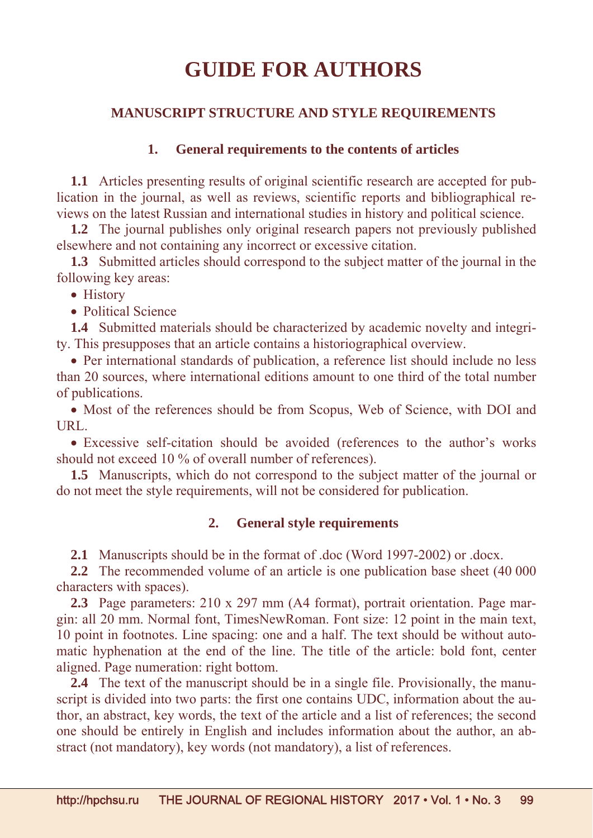# **GUIDE FOR AUTHORS**

## **MANUSCRIPT STRUCTURE AND STYLE REQUIREMENTS**

## **1. General requirements to the contents of articles**

**1.1** Articles presenting results of original scientific research are accepted for publication in the journal, as well as reviews, scientific reports and bibliographical reviews on the latest Russian and international studies in history and political science.

**1.2** The journal publishes only original research papers not previously published elsewhere and not containing any incorrect or excessive citation.

**1.3** Submitted articles should correspond to the subject matter of the journal in the following key areas:

• History

• Political Science

**1.4** Submitted materials should be characterized by academic novelty and integrity. This presupposes that an article contains a historiographical overview.

 Per international standards of publication, a reference list should include no less than 20 sources, where international editions amount to one third of the total number of publications.

• Most of the references should be from Scopus, Web of Science, with DOI and URL.

 Excessive self-citation should be avoided (references to the author's works should not exceed 10 % of overall number of references).

**1.5** Manuscripts, which do not correspond to the subject matter of the journal or do not meet the style requirements, will not be considered for publication.

### **2. General style requirements**

**2.1** Manuscripts should be in the format of .doc (Word 1997-2002) or .docx.

**2.2** The recommended volume of an article is one publication base sheet (40 000 characters with spaces).

**2.3** Page parameters: 210 x 297 mm (A4 format), portrait orientation. Page margin: all 20 mm. Normal font, TimesNewRoman. Font size: 12 point in the main text, 10 point in footnotes. Line spacing: one and a half. The text should be without automatic hyphenation at the end of the line. The title of the article: bold font, center aligned. Page numeration: right bottom.

**2.4** The text of the manuscript should be in a single file. Provisionally, the manuscript is divided into two parts: the first one contains UDC, information about the author, an abstract, key words, the text of the article and a list of references; the second one should be entirely in English and includes information about the author, an abstract (not mandatory), key words (not mandatory), a list of references.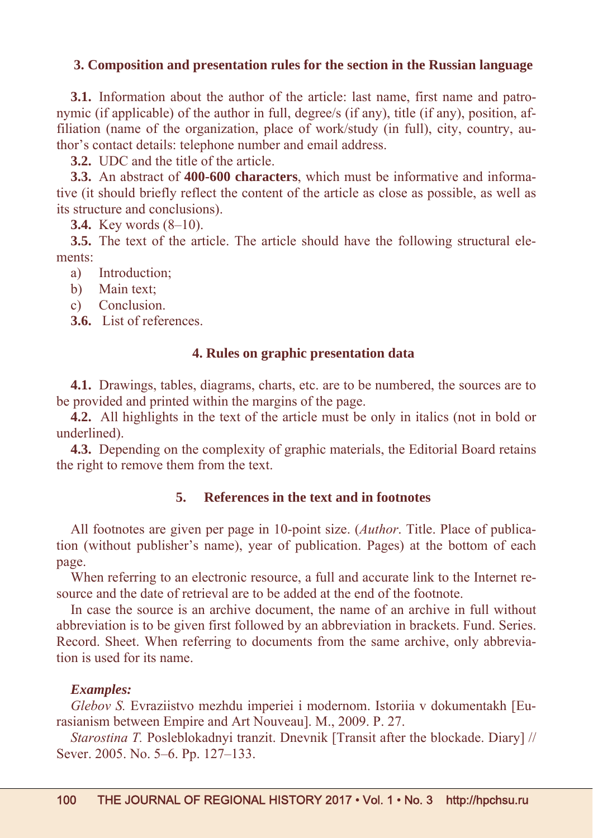## **3. Composition and presentation rules for the section in the Russian language**

**3.1.** Information about the author of the article: last name, first name and patronymic (if applicable) of the author in full, degree/s (if any), title (if any), position, affiliation (name of the organization, place of work/study (in full), city, country, author's contact details: telephone number and email address.

**3.2.** UDC and the title of the article.

**3.3.** An abstract of **400-600 characters**, which must be informative and informative (it should briefly reflect the content of the article as close as possible, as well as its structure and conclusions).

**3.4.** Key words (8–10).

**3.5.** The text of the article. The article should have the following structural elements:

a) Introduction;

- b) Main text;
- c) Conclusion.

**3.6.** List of references.

## **4. Rules on graphic presentation data**

**4.1.** Drawings, tables, diagrams, charts, etc. are to be numbered, the sources are to be provided and printed within the margins of the page.

**4.2.** All highlights in the text of the article must be only in italics (not in bold or underlined).

**4.3.** Depending on the complexity of graphic materials, the Editorial Board retains the right to remove them from the text.

## **5. References in the text and in footnotes**

All footnotes are given per page in 10-point size. (*Author*. Title. Place of publication (without publisher's name), year of publication. Pages) at the bottom of each page.

When referring to an electronic resource, a full and accurate link to the Internet resource and the date of retrieval are to be added at the end of the footnote.

In case the source is an archive document, the name of an archive in full without abbreviation is to be given first followed by an abbreviation in brackets. Fund. Series. Record. Sheet. When referring to documents from the same archive, only abbreviation is used for its name.

#### *Examples:*

*Glebov S.* Evraziistvo mezhdu imperiei i modernom. Istoriia v dokumentakh [Eurasianism between Empire and Art Nouveau]. M., 2009. P. 27.

*Starostina T.* Posleblokadnyi tranzit. Dnevnik [Transit after the blockade. Diary] // Sever. 2005. No. 5–6. Pp. 127–133.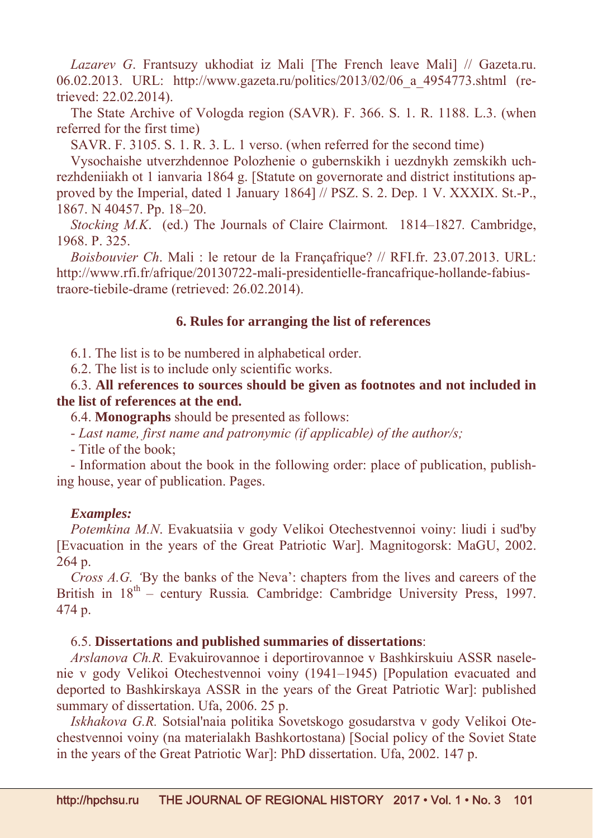*Lazarev G*. Frantsuzy ukhodiat iz Mali [The French leave Mali] // Gazeta.ru. 06.02.2013. URL: http://www.gazeta.ru/politics/2013/02/06\_a\_4954773.shtml (retrieved: 22.02.2014).

The State Archive of Vologda region (SAVR). F. 366. S. 1. R. 1188. L.3. (when referred for the first time)

SAVR. F. 3105. S. 1. R. 3. L. 1 verso. (when referred for the second time)

Vysochaishe utverzhdennoe Polozhenie o gubernskikh i uezdnykh zemskikh uchrezhdeniiakh ot 1 ianvaria 1864 g. [Statute on governorate and district institutions approved by the Imperial, dated 1 January 1864] // PSZ. S. 2. Dep. 1 V. XXXIX. St.-P., 1867. N 40457. Pp. 18–20.

*Stocking M.K*. (ed.) The Journals of Claire Clairmont*.* 1814–1827*.* Cambridge, 1968. Р. 325.

*Boisbouvier Ch*. Mali : le retour de la Françafrique? // RFI.fr. 23.07.2013. URL: http://www.rfi.fr/afrique/20130722-mali-presidentielle-francafrique-hollande-fabiustraore-tiebile-drame (retrieved: 26.02.2014).

#### **6. Rules for arranging the list of references**

6.1. The list is to be numbered in alphabetical order.

6.2. The list is to include only scientific works.

6.3. **All references to sources should be given as footnotes and not included in the list of references at the end.**

6.4. **Monographs** should be presented as follows:

- *Last name, first name and patronymic (if applicable) of the author/s;*

- Title of the book;

- Information about the book in the following order: place of publication, publishing house, year of publication. Pages.

#### *Examples:*

*Potemkina M.N*. Evakuatsiia v gody Velikoi Otechestvennoi voiny: liudi i sud'by [Evacuation in the years of the Great Patriotic War]. Magnitogorsk: MaGU, 2002. 264 p.

*Cross A.G.* By the banks of the Neva': chapters from the lives and careers of the British in  $18^{th}$  – century Russia. Cambridge: Cambridge University Press, 1997. 474 p.

### 6.5. **Dissertations and published summaries of dissertations**:

*Arslanova Ch.R.* Evakuirovannoe i deportirovannoe v Bashkirskuiu ASSR naselenie v gody Velikoi Otechestvennoi voiny (1941–1945) [Population evacuated and deported to Bashkirskaya ASSR in the years of the Great Patriotic War]: published summary of dissertation. Ufa, 2006. 25 p.

*Iskhakova G.R.* Sotsial'naia politika Sovetskogo gosudarstva v gody Velikoi Otechestvennoi voiny (na materialakh Bashkortostana) [Social policy of the Soviet State in the years of the Great Patriotic War]: PhD dissertation. Ufa, 2002. 147 p.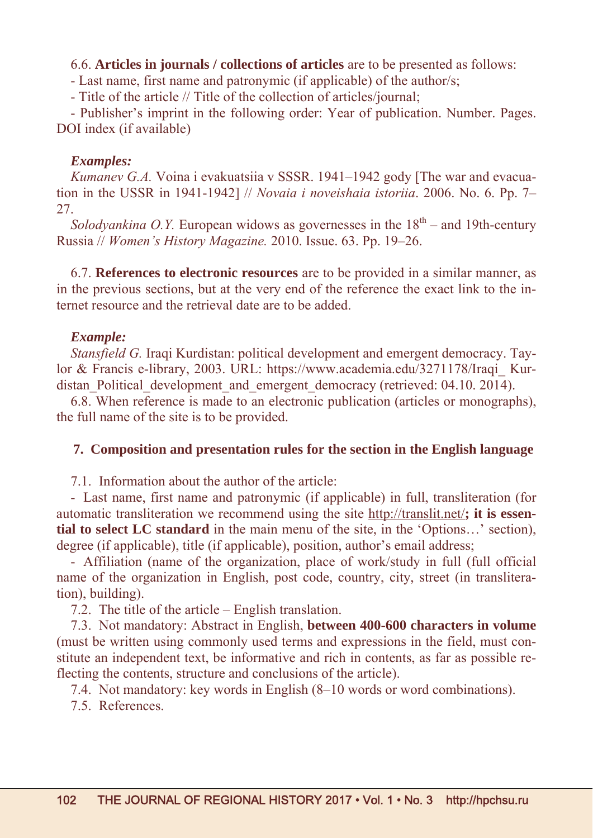## 6.6. **Articles in journals / collections of articles** are to be presented as follows:

- Last name, first name and patronymic (if applicable) of the author/s;

- Title of the article // Title of the collection of articles/journal;

- Publisher's imprint in the following order: Year of publication. Number. Pages. DOI index (if available)

## *Examples:*

*Kumanev G.A.* Voina i evakuatsiia v SSSR. 1941–1942 gody [The war and evacuation in the USSR in 1941-1942] // *Novaia i noveishaia istoriia*. 2006. No. 6. Pp. 7– 27.

*Solodyankina O.Y.* European widows as governesses in the  $18<sup>th</sup>$  – and 19th-century Russia // *Women's History Magazine.* 2010. Issue. 63. Рp. 19–26.

6.7. **References to electronic resources** are to be provided in a similar manner, as in the previous sections, but at the very end of the reference the exact link to the internet resource and the retrieval date are to be added.

## *Example:*

*Stansfield G.* Iraqi Kurdistan: political development and emergent democracy. Taylor & Francis e-library, 2003. URL: https://www.academia.edu/3271178/Iraqi\_ Kurdistan Political development and emergent democracy (retrieved: 04.10. 2014).

6.8. When reference is made to an electronic publication (articles or monographs), the full name of the site is to be provided.

## **7. Composition and presentation rules for the section in the English language**

7.1. Information about the author of the article:

- Last name, first name and patronymic (if applicable) in full, transliteration (for automatic transliteration we recommend using the site http://translit.net/**; it is essential to select LC standard** in the main menu of the site, in the 'Options…' section), degree (if applicable), title (if applicable), position, author's email address;

- Affiliation (name of the organization, place of work/study in full (full official name of the organization in English, post code, country, city, street (in transliteration), building).

7.2. The title of the article – English translation.

7.3. Not mandatory: Abstract in English, **between 400-600 characters in volume** (must be written using commonly used terms and expressions in the field, must constitute an independent text, be informative and rich in contents, as far as possible reflecting the contents, structure and conclusions of the article).

7.4. Not mandatory: key words in English (8–10 words or word combinations).

7.5. References.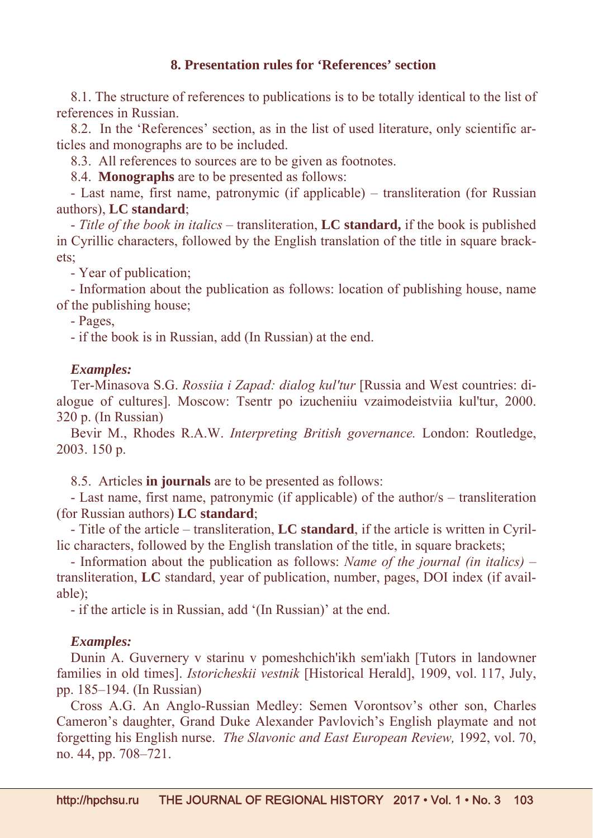## **8. Presentation rules for 'References' section**

8.1. The structure of references to publications is to be totally identical to the list of references in Russian.

8.2. In the 'References' section, as in the list of used literature, only scientific articles and monographs are to be included.

8.3. All references to sources are to be given as footnotes.

8.4. **Monographs** are to be presented as follows:

- Last name, first name, patronymic (if applicable) – transliteration (for Russian authors), **LC standard**;

- *Title of the book in italics* – transliteration, **LC standard,** if the book is published in Cyrillic characters, followed by the English translation of the title in square brackets;

- Year of publication;

- Information about the publication as follows: location of publishing house, name of the publishing house;

- Pages,

- if the book is in Russian, add (In Russian) at the end.

## *Examples:*

Ter-Minasova S.G. *Rossiia i Zapad: dialog kul'tur* [Russia and West countries: dialogue of cultures]. Moscow: Tsentr po izucheniiu vzaimodeistviia kul'tur, 2000. 320 p. (In Russian)

Bevir M., Rhodes R.A.W. *Interpreting British governance.* London: Routledge, 2003. 150 p.

8.5. Articles **in journals** are to be presented as follows:

- Last name, first name, patronymic (if applicable) of the author/s – transliteration (for Russian authors) **LC standard**;

- Title of the article – transliteration, **LC standard**, if the article is written in Cyrillic characters, followed by the English translation of the title, in square brackets;

- Information about the publication as follows: *Name of the journal (in italics)* – transliteration, **LC** standard, year of publication, number, pages, DOI index (if available);

- if the article is in Russian, add '(In Russian)' at the end.

## *Examples:*

Dunin A. Guvernery v starinu v pomeshchich'ikh sem'iakh [Tutors in landowner families in old times]. *Istoricheskii vestnik* [Historical Herald], 1909, vol. 117, July, pp. 185–194. (In Russian)

Cross A.G. An Anglo-Russian Medley: Semen Vorontsov's other son, Charles Cameron's daughter, Grand Duke Alexander Pavlovich's English playmate and not forgetting his English nurse. *The Slavonic and East European Review,* 1992, vol. 70, no. 44, pp. 708–721.